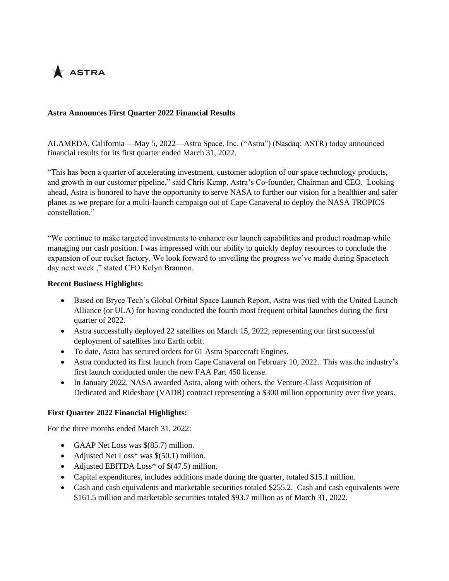

## **Astra Announces First Quarter 2022 Financial Results**

ALAMEDA, California —May 5, 2022—Astra Space, Inc. ("Astra") (Nasdaq: ASTR) today announced financial results for its first quarter ended March 31, 2022.

"This has been a quarter of accelerating investment, customer adoption of our space technology products, and growth in our customer pipeline," said Chris Kemp, Astra's Co-founder, Chairman and CEO. Looking ahead, Astra is honored to have the opportunity to serve NASA to further our vision for a healthier and safer planet as we prepare for a multi-launch campaign out of Cape Canaveral to deploy the NASA TROPICS constellation."

"We continue to make targeted investments to enhance our launch capabilities and product roadmap while managing our cash position. I was impressed with our ability to quickly deploy resources to conclude the expansion of our rocket factory. We look forward to unveiling the progress we've made during Spacetech day next week ," stated CFO Kelyn Brannon.

### **Recent Business Highlights:**

- Based on Bryce Tech's Global Orbital Space Launch Report, Astra was tied with the United Launch Alliance (or ULA) for having conducted the fourth most frequent orbital launches during the first quarter of 2022.
- Astra successfully deployed 22 satellites on March 15, 2022, representing our first successful deployment of satellites into Earth orbit.
- To date, Astra has secured orders for 61 Astra Spacecraft Engines.
- Astra conducted its first launch from Cape Canaveral on February 10, 2022.. This was the industry's first launch conducted under the new FAA Part 450 license.
- In January 2022, NASA awarded Astra, along with others, the Venture-Class Acquisition of Dedicated and Rideshare (VADR) contract representing a \$300 million opportunity over five years.

### **First Quarter 2022 Financial Highlights:**

For the three months ended March 31, 2022:

- GAAP Net Loss was \$(85.7) million.
- Adjusted Net Loss\* was \$(50.1) million.
- Adjusted EBITDA Loss\* of \$(47.5) million.
- Capital expenditures, includes additions made during the quarter, totaled \$15.1 million.
- Cash and cash equivalents and marketable securities totaled \$255.2. Cash and cash equivalents were \$161.5 million and marketable securities totaled \$93.7 million as of March 31, 2022.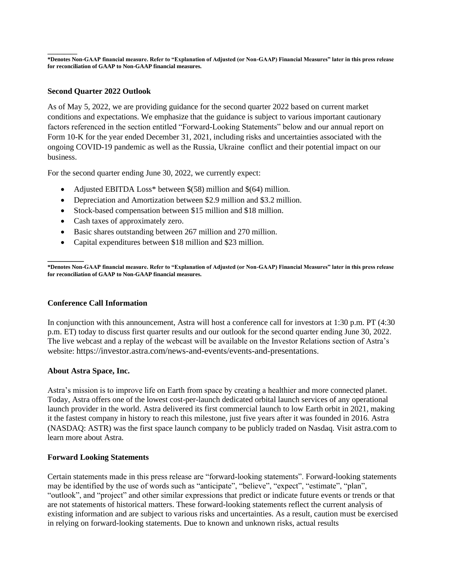**\_\_\_\_\_\_\_\_\_ \*Denotes Non-GAAP financial measure. Refer to "Explanation of Adjusted (or Non-GAAP) Financial Measures" later in this press release for reconciliation of GAAP to Non-GAAP financial measures.**

#### **Second Quarter 2022 Outlook**

As of May 5, 2022, we are providing guidance for the second quarter 2022 based on current market conditions and expectations. We emphasize that the guidance is subject to various important cautionary factors referenced in the section entitled "Forward-Looking Statements" below and our annual report on Form 10-K for the year ended December 31, 2021, including risks and uncertainties associated with the ongoing COVID-19 pandemic as well as the Russia, Ukraine conflict and their potential impact on our business.

For the second quarter ending June 30, 2022, we currently expect:

- Adjusted EBITDA Loss\* between \$(58) million and \$(64) million.
- Depreciation and Amortization between \$2.9 million and \$3.2 million.
- Stock-based compensation between \$15 million and \$18 million.
- Cash taxes of approximately zero.
- Basic shares outstanding between 267 million and 270 million.
- Capital expenditures between \$18 million and \$23 million.

### **Conference Call Information**

**\_\_\_\_\_\_\_\_\_**

In conjunction with this announcement, Astra will host a conference call for investors at 1:30 p.m. PT (4:30 p.m. ET) today to discuss first quarter results and our outlook for the second quarter ending June 30, 2022. The live webcast and a replay of the webcast will be available on the Investor Relations section of Astra's website: https://investor.astra.com/news-and-events/events-and-presentations.

#### **About Astra Space, Inc.**

Astra's mission is to improve life on Earth from space by creating a healthier and more connected planet. Today, Astra offers one of the lowest cost-per-launch dedicated orbital launch services of any operational launch provider in the world. Astra delivered its first commercial launch to low Earth orbit in 2021, making it the fastest company in history to reach this milestone, just five years after it was founded in 2016. Astra (NASDAQ: ASTR) was the first space launch company to be publicly traded on Nasdaq. Visit astra.com to learn more about Astra.

#### **Forward Looking Statements**

Certain statements made in this press release are "forward-looking statements". Forward-looking statements may be identified by the use of words such as "anticipate", "believe", "expect", "estimate", "plan", "outlook", and "project" and other similar expressions that predict or indicate future events or trends or that are not statements of historical matters. These forward-looking statements reflect the current analysis of existing information and are subject to various risks and uncertainties. As a result, caution must be exercised in relying on forward-looking statements. Due to known and unknown risks, actual results

**<sup>\*</sup>Denotes Non-GAAP financial measure. Refer to "Explanation of Adjusted (or Non-GAAP) Financial Measures" later in this press release for reconciliation of GAAP to Non-GAAP financial measures.**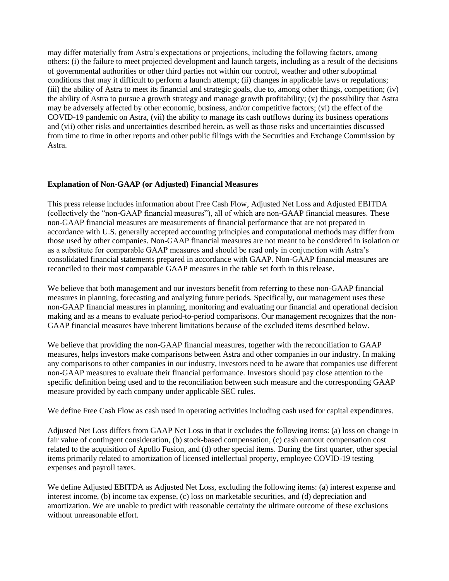may differ materially from Astra's expectations or projections, including the following factors, among others: (i) the failure to meet projected development and launch targets, including as a result of the decisions of governmental authorities or other third parties not within our control, weather and other suboptimal conditions that may it difficult to perform a launch attempt; (ii) changes in applicable laws or regulations; (iii) the ability of Astra to meet its financial and strategic goals, due to, among other things, competition; (iv) the ability of Astra to pursue a growth strategy and manage growth profitability; (v) the possibility that Astra may be adversely affected by other economic, business, and/or competitive factors; (vi) the effect of the COVID-19 pandemic on Astra, (vii) the ability to manage its cash outflows during its business operations and (vii) other risks and uncertainties described herein, as well as those risks and uncertainties discussed from time to time in other reports and other public filings with the Securities and Exchange Commission by Astra.

### **Explanation of Non-GAAP (or Adjusted) Financial Measures**

This press release includes information about Free Cash Flow, Adjusted Net Loss and Adjusted EBITDA (collectively the "non-GAAP financial measures"), all of which are non-GAAP financial measures. These non-GAAP financial measures are measurements of financial performance that are not prepared in accordance with U.S. generally accepted accounting principles and computational methods may differ from those used by other companies. Non-GAAP financial measures are not meant to be considered in isolation or as a substitute for comparable GAAP measures and should be read only in conjunction with Astra's consolidated financial statements prepared in accordance with GAAP. Non-GAAP financial measures are reconciled to their most comparable GAAP measures in the table set forth in this release.

We believe that both management and our investors benefit from referring to these non-GAAP financial measures in planning, forecasting and analyzing future periods. Specifically, our management uses these non-GAAP financial measures in planning, monitoring and evaluating our financial and operational decision making and as a means to evaluate period-to-period comparisons. Our management recognizes that the non-GAAP financial measures have inherent limitations because of the excluded items described below.

We believe that providing the non-GAAP financial measures, together with the reconciliation to GAAP measures, helps investors make comparisons between Astra and other companies in our industry. In making any comparisons to other companies in our industry, investors need to be aware that companies use different non-GAAP measures to evaluate their financial performance. Investors should pay close attention to the specific definition being used and to the reconciliation between such measure and the corresponding GAAP measure provided by each company under applicable SEC rules.

We define Free Cash Flow as cash used in operating activities including cash used for capital expenditures.

Adjusted Net Loss differs from GAAP Net Loss in that it excludes the following items: (a) loss on change in fair value of contingent consideration, (b) stock-based compensation, (c) cash earnout compensation cost related to the acquisition of Apollo Fusion, and (d) other special items. During the first quarter, other special items primarily related to amortization of licensed intellectual property, employee COVID-19 testing expenses and payroll taxes.

We define Adjusted EBITDA as Adjusted Net Loss, excluding the following items: (a) interest expense and interest income, (b) income tax expense, (c) loss on marketable securities, and (d) depreciation and amortization. We are unable to predict with reasonable certainty the ultimate outcome of these exclusions without unreasonable effort.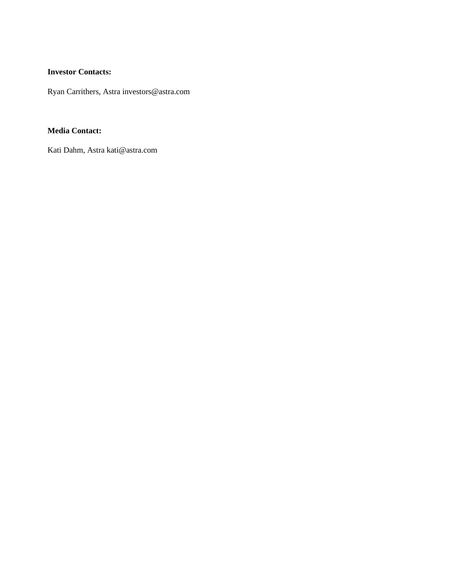# **Investor Contacts:**

Ryan Carrithers, Astra investors@astra.com

## **Media Contact:**

Kati Dahm, Astra kati@astra.com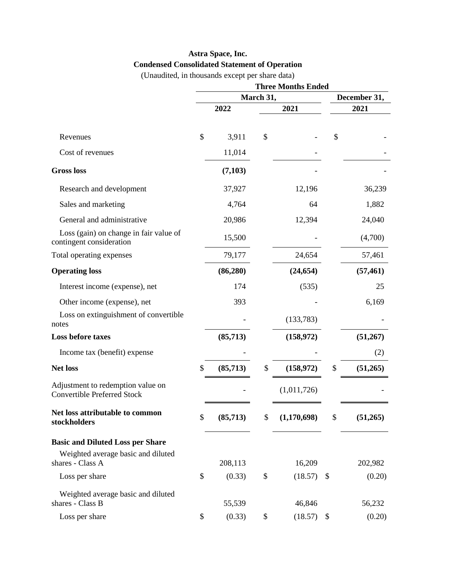# **Astra Space, Inc. Condensed Consolidated Statement of Operation**

(Unaudited, in thousands except per share data)

|                                                                         | <b>Three Months Ended</b> |           |    |             |                           |              |  |  |
|-------------------------------------------------------------------------|---------------------------|-----------|----|-------------|---------------------------|--------------|--|--|
|                                                                         | March 31,                 |           |    |             |                           | December 31, |  |  |
|                                                                         |                           | 2022      |    | 2021        |                           | 2021         |  |  |
| Revenues                                                                | \$                        | 3,911     | \$ |             | \$                        |              |  |  |
| Cost of revenues                                                        |                           | 11,014    |    |             |                           |              |  |  |
| <b>Gross loss</b>                                                       |                           | (7,103)   |    |             |                           |              |  |  |
| Research and development                                                |                           | 37,927    |    | 12,196      |                           | 36,239       |  |  |
| Sales and marketing                                                     |                           | 4,764     |    | 64          |                           | 1,882        |  |  |
| General and administrative                                              |                           | 20,986    |    | 12,394      |                           | 24,040       |  |  |
| Loss (gain) on change in fair value of<br>contingent consideration      |                           | 15,500    |    |             |                           | (4,700)      |  |  |
| Total operating expenses                                                |                           | 79,177    |    | 24,654      |                           | 57,461       |  |  |
| <b>Operating loss</b>                                                   |                           | (86, 280) |    | (24, 654)   |                           | (57, 461)    |  |  |
| Interest income (expense), net                                          |                           | 174       |    | (535)       |                           | 25           |  |  |
| Other income (expense), net                                             |                           | 393       |    |             |                           | 6,169        |  |  |
| Loss on extinguishment of convertible<br>notes                          |                           |           |    | (133,783)   |                           |              |  |  |
| <b>Loss before taxes</b>                                                |                           | (85,713)  |    | (158, 972)  |                           | (51,267)     |  |  |
| Income tax (benefit) expense                                            |                           |           |    |             |                           | (2)          |  |  |
| <b>Net loss</b>                                                         | \$                        | (85, 713) | \$ | (158, 972)  | \$                        | (51,265)     |  |  |
| Adjustment to redemption value on<br><b>Convertible Preferred Stock</b> |                           |           |    | (1,011,726) |                           |              |  |  |
| Net loss attributable to common<br>stockholders                         | \$                        | (85,713)  | \$ | (1,170,698) | \$                        | (51,265)     |  |  |
| <b>Basic and Diluted Loss per Share</b>                                 |                           |           |    |             |                           |              |  |  |
| Weighted average basic and diluted<br>shares - Class A                  |                           | 208,113   |    | 16,209      |                           | 202,982      |  |  |
| Loss per share                                                          | \$                        | (0.33)    | \$ | (18.57)     | $\mathcal{S}$             | (0.20)       |  |  |
| Weighted average basic and diluted<br>shares - Class B                  |                           | 55,539    |    | 46,846      |                           | 56,232       |  |  |
| Loss per share                                                          | \$                        | (0.33)    | \$ | (18.57)     | $\boldsymbol{\mathsf{S}}$ | (0.20)       |  |  |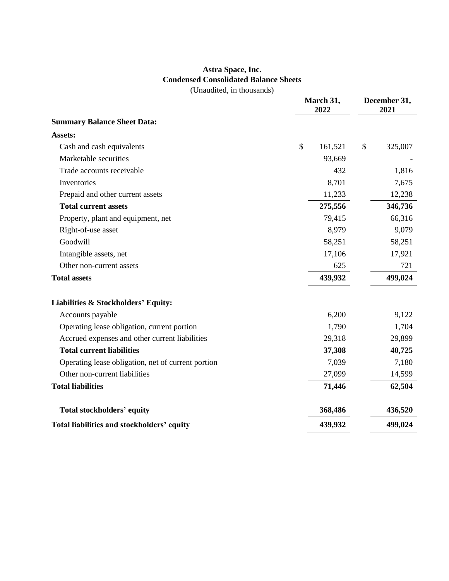# **Astra Space, Inc. Condensed Consolidated Balance Sheets**

(Unaudited, in thousands)

|                                                    | March 31,<br>2022 |         | December 31,<br>2021 |         |
|----------------------------------------------------|-------------------|---------|----------------------|---------|
| <b>Summary Balance Sheet Data:</b>                 |                   |         |                      |         |
| Assets:                                            |                   |         |                      |         |
| Cash and cash equivalents                          | \$                | 161,521 | \$                   | 325,007 |
| Marketable securities                              |                   | 93,669  |                      |         |
| Trade accounts receivable                          |                   | 432     |                      | 1,816   |
| Inventories                                        |                   | 8,701   |                      | 7,675   |
| Prepaid and other current assets                   |                   | 11,233  |                      | 12,238  |
| <b>Total current assets</b>                        |                   | 275,556 |                      | 346,736 |
| Property, plant and equipment, net                 |                   | 79,415  |                      | 66,316  |
| Right-of-use asset                                 |                   | 8,979   |                      | 9,079   |
| Goodwill                                           |                   | 58,251  |                      | 58,251  |
| Intangible assets, net                             |                   | 17,106  |                      | 17,921  |
| Other non-current assets                           |                   | 625     |                      | 721     |
| <b>Total assets</b>                                |                   | 439,932 |                      | 499,024 |
| Liabilities & Stockholders' Equity:                |                   |         |                      |         |
| Accounts payable                                   |                   | 6,200   |                      | 9,122   |
| Operating lease obligation, current portion        |                   | 1,790   |                      | 1,704   |
| Accrued expenses and other current liabilities     |                   | 29,318  |                      | 29,899  |
| <b>Total current liabilities</b>                   |                   | 37,308  |                      | 40,725  |
| Operating lease obligation, net of current portion |                   | 7,039   |                      | 7,180   |
| Other non-current liabilities                      |                   | 27,099  |                      | 14,599  |
| <b>Total liabilities</b>                           |                   | 71,446  |                      | 62,504  |
| <b>Total stockholders' equity</b>                  |                   | 368,486 |                      | 436,520 |
| Total liabilities and stockholders' equity         |                   | 439,932 |                      | 499,024 |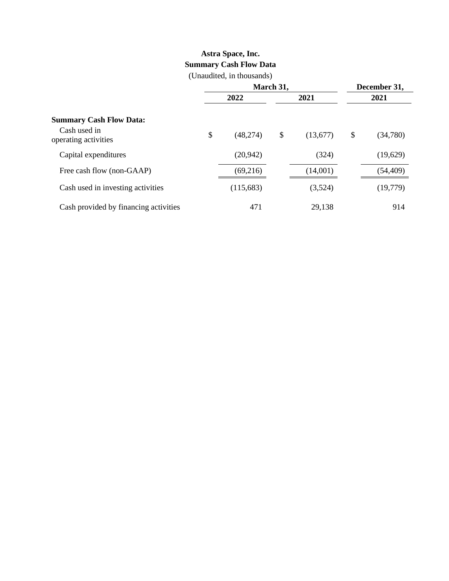# **Astra Space, Inc. Summary Cash Flow Data**

(Unaudited, in thousands)

|                                       | March 31,     |           |    |          |    | December 31, |  |
|---------------------------------------|---------------|-----------|----|----------|----|--------------|--|
|                                       |               | 2022      |    | 2021     |    | 2021         |  |
| <b>Summary Cash Flow Data:</b>        |               |           |    |          |    |              |  |
| Cash used in<br>operating activities  | $\mathcal{S}$ | (48, 274) | \$ | (13,677) | \$ | (34,780)     |  |
| Capital expenditures                  |               | (20, 942) |    | (324)    |    | (19,629)     |  |
| Free cash flow (non-GAAP)             |               | (69,216)  |    | (14,001) |    | (54, 409)    |  |
| Cash used in investing activities     |               | (115,683) |    | (3,524)  |    | (19,779)     |  |
| Cash provided by financing activities |               | 471       |    | 29,138   |    | 914          |  |